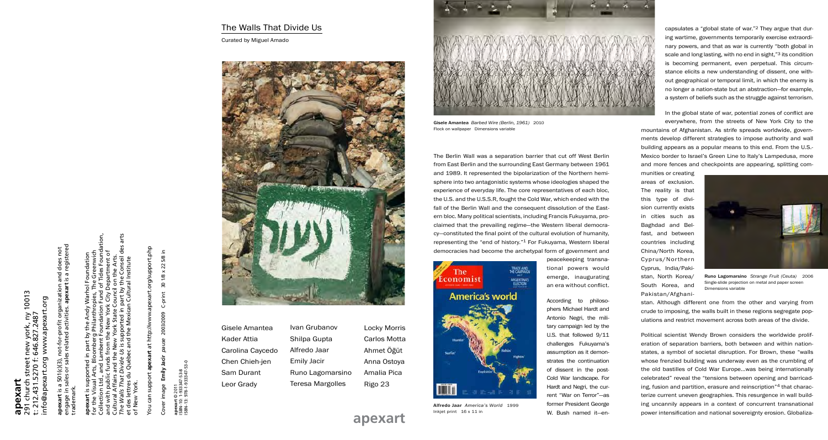Gisele Amantea *Barbed Wire (Berlin, 1961)* 2010 Flock on wallpaper Dimensions variable

**apexart**

291 church street new york, ny 10013 t: 212.431.5270 f: 646.827.2487 info@apexart.org www.apexart.org

: new york, ny 1<br>: 646.827.2487

hurch street<br>.431.5270 f: ( apexart.org

www.apexart.org

info

10013

Collection Ltd., and Lambent Foundation Fund of Tides Foundation, *The Walls That Divide Us* is supported in part by the Conseil des arts for the Visual Arts, Bloomberg Philanthropies, The Greenwich and with public funds from the New York City Department of dation ৽ Cultural Affairs and the New York State Council on the Arts. et des lettres du Québec and the Mexican Cultural Institute  $\bar{c}$ Ĕ Cultur Mexica and Québec of New York.  $\frac{4}{10}$ 

t.org/support.php You can support **apexart** at http://www.apexart.org/support.php at http://www.apexar apexart a support Gn  $\overline{6}$ 

30 1/8 x 22 5/8 in Cover image **Emily Jacir** *pause* 2003/2009 C-print 30 1/8 x 22 5/8 in C-print 2003/2009 pause Emily Jacir Cover image

t © 2011<br>:: 1-933347-53-8<br>:: 978-1-933347-53-0 ISBN-13: 978-1-933347-53-0 ISBN-10: 1-933347-53-8 apexart ©<br>|SBN-10:<br>|SBN-13: 9

| engage in sales or sales related activities. apexart is a registered |                                                              |
|----------------------------------------------------------------------|--------------------------------------------------------------|
| apexart is a 501(c)(3), not-for-profit organization and does not     | for the Visual Arts, Bloomberg Philanthropies, The Greenwich |
| trademark.                                                           | apexart is supported in part by the Andy Warhol Foundation   |

**apexart** © 2011

The Berlin Wall was a separation barrier that cut off West Berlin from East Berlin and the surrounding East Germany between 1961 and 1989. It represented the bipolarization of the Northern hemisphere into two antagonistic systems whose ideologies shaped the experience of everyday life. The core representatives of each bloc, the U.S. and the U.S.S.R, fought the Cold War, which ended with the fall of the Berlin Wall and the consequent dissolution of the Eastern bloc. Many political scientists, including Francis Fukuyama, proclaimed that the prevailing regime—the Western liberal democracy—constituted the final point of the cultural evolution of humanity, representing the "end of history."1 For Fukuyama, Western liberal democracies had become the archetypal form of government and



peacekeeping transnational powers would emerge, inaugurating an era without conflict.

According to philosophers Michael Hardt and Antonio Negri, the military campaign led by the U.S. that followed 9/11 challenges Fukuyama's assumption as it demonstrates the continuation of dissent in the post-Cold War landscape. For Hardt and Negri, the current "War on Terror"—as former President George W. Bush named it—encapsulates a "global state of war."2 They argue that during wartime, governments temporarily exercise extraordinary powers, and that as war is currently "both global in scale and long lasting, with no end in sight,"<sup>3</sup> its condition is becoming permanent, even perpetual. This circumstance elicits a new understanding of dissent, one without geographical or temporal limit, in which the enemy is no longer a nation-state but an abstraction—for example, a system of beliefs such as the struggle against terrorism.

In the global state of war, potential zones of conflict are everywhere, from the streets of New York City to the mountains of Afghanistan. As strife spreads worldwide, govern-



ments develop different strategies to impose authority and wall building appears as a popular means to this end. From the U.S.- Mexico border to Israel's Green Line to Italy's Lampedusa, more and more fences and checkpoints are appearing, splitting communities or creating areas of exclusion. The reality is that this type of division currently exists in cities such as Baghdad and Belfast, and between countries including China/North Korea, Cyprus/Northern Cyprus, India/Pakistan, North Korea/ South Korea, and Pakistan/Afghanistan. Although different one from the other and varying from crude to imposing, the walls built in these regions segregate populations and restrict movement across both areas of the divide. Political scientist Wendy Brown considers the worldwide proliferation of separation barriers, both between and within nationstates, a symbol of societal disruption. For Brown, these "walls whose frenzied building was underway even as the crumbling of the old bastilles of Cold War Europe…was being internationally celebrated" reveal the "tensions between opening and barricading, fusion and partition, erasure and reinscription"4 that characterize current uneven geographies. This resurgence in wall building uncannily appears in a context of concurrent transnational **apexart** Inkjet print 16 x 11 in This and Dexamples and national sovereignty erosion. Globaliza-<br>**apexart** Runo Lagomarsino *Strange Fruit (Ceuta)* 2006 Single-slide projection on metal and paper screen Dimensions variable

## The Walls That Divide Us

Curated by Miguel Amado



| Gisele Amantea  |  |
|-----------------|--|
| Kader Attia     |  |
| Carolina Cayced |  |
| Chen Chieh-jen  |  |
| Sam Durant      |  |
| Leor Grady      |  |
|                 |  |

do

Locky Morris Carlos Motta Ahmet Öğüt Anna Ostoya Amalia Pica Rigo 23





Ivan Grubanov Shilpa Gupta Alfredo Jaar Emily Jacir Runo Lagomarsino Teresa Margolles

> Alfredo Jaar *America's World* 1999 Inkjet print 16 x 11 in